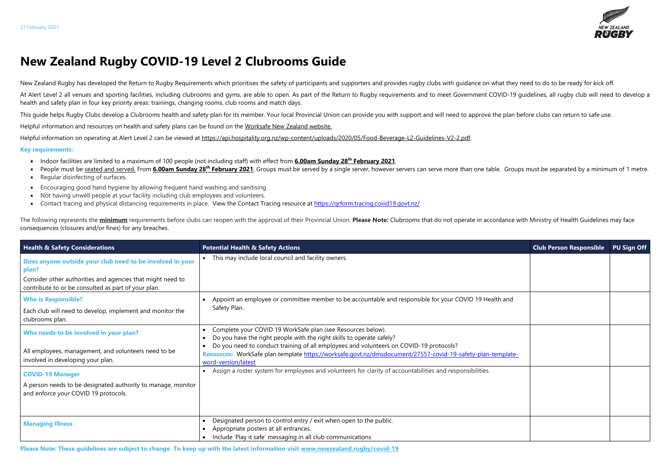**Please Note: These guidelines are subject to change. To keep up with the latest information visit [www.newzealand.rugby/covid-19](http://www.newzealand.rugby/covid-19)** 



## **New Zealand Rugby COVID-19 Level 2 Clubrooms Guide**

New Zealand Rugby has developed the Return to Rugby Requirements which prioritises the safety of participants and supporters and provides rugby clubs with guidance on what they need to do to be ready for kick off.

At Alert Level 2 all venues and sporting facilities, including clubrooms and gyms, are able to open. As part of the Return to Rugby requirements and to meet Government COVID-19 guidelines, all rugby club will need to devel health and safety plan in four key priority areas: trainings, changing rooms, club rooms and match days.

This guide helps Rugby Clubs develop a Clubrooms health and safety plan for its member. Your local Provincial Union can provide you with support and will need to approve the plan before clubs can return to safe use.

- Indoor facilities are limited to a maximum of 100 people (not including staff) with effect from **6.00am Sunday 28th February 2021**.
- People must be seated and served. From 6.00am Sunday 28<sup>th</sup> February 2021, Groups must be served by a single server, however servers can serve more than one table. Groups must be separated by a minimum of 1 metre.
- Regular disinfecting of surfaces.
- Encouraging good hand hygiene by allowing frequent hand washing and sanitising.
- Not having unwell people at your facility including club employees and volunteers.
- Contact tracing and physical distancing requirements in place. View the Contact Tracing resource at https://grform.tracing.covid19.govt.nz/

Helpful information and resources on health and safety plans can be found on the [Worksafe New Zealand website.](https://worksafe.govt.nz/managing-health-and-safety/novel-coronavirus-covid/operating-safely-at-alert-level-2-what-you-need-to-think-about/)

Helpful information on operating at Alert Level 2 can be viewed at [https://api.hospitality.org.nz/wp-content/uploads/2020/05/Food-Beverage-L2-Guidelines-V2-2.pdf.](https://api.hospitality.org.nz/wp-content/uploads/2020/05/Food-Beverage-L2-Guidelines-V2-2.pdf)

The following represents the minimum requirements before clubs can reopen with the approval of their Provincial Union. Please Note: Clubrooms that do not operate in accordance with Ministry of Health Guidelines may face consequences (closures and/or fines) for any breaches.

## **Key requirements:**

| <b>Health &amp; Safety Considerations</b>                                                                         | <b>Potential Health &amp; Safety Actions</b>                                                                                                                                                                                 | <b>Club Person Responsible</b> | <b>PU Sign Off</b> |
|-------------------------------------------------------------------------------------------------------------------|------------------------------------------------------------------------------------------------------------------------------------------------------------------------------------------------------------------------------|--------------------------------|--------------------|
| Does anyone outside your club need to be involved in your<br>plan?                                                | This may include local council and facility owners.                                                                                                                                                                          |                                |                    |
| Consider other authorities and agencies that might need to<br>contribute to or be consulted as part of your plan. |                                                                                                                                                                                                                              |                                |                    |
| <b>Who is Responsible?</b>                                                                                        | Appoint an employee or committee member to be accountable and responsible for your COVID 19 Health and<br>Safety Plan.                                                                                                       |                                |                    |
| Each club will need to develop, implement and monitor the<br>clubrooms plan.                                      |                                                                                                                                                                                                                              |                                |                    |
| Who needs to be involved in your plan?                                                                            | Complete your COVID 19 WorkSafe plan (see Resources below).<br>Do you have the right people with the right skills to operate safely?                                                                                         |                                |                    |
| All employees, management, and volunteers need to be<br>involved in developing your plan.                         | Do you need to conduct training of all employees and volunteers on COVID-19 protocols?<br>Resources: WorkSafe plan template https://worksafe.govt.nz/dmsdocument/27557-covid-19-safety-plan-template-<br>word-version/latest |                                |                    |
| <b>COVID-19 Manager</b>                                                                                           | Assign a roster system for employees and volunteers for clarity of accountabilities and responsibilities.                                                                                                                    |                                |                    |
| A person needs to be designated authority to manage, monitor<br>and enforce your COVID 19 protocols.              |                                                                                                                                                                                                                              |                                |                    |
| <b>Managing Illness</b>                                                                                           | Designated person to control entry / exit when open to the public.<br>Appropriate posters at all entrances.<br>Include 'Play it safe' messaging in all club communications                                                   |                                |                    |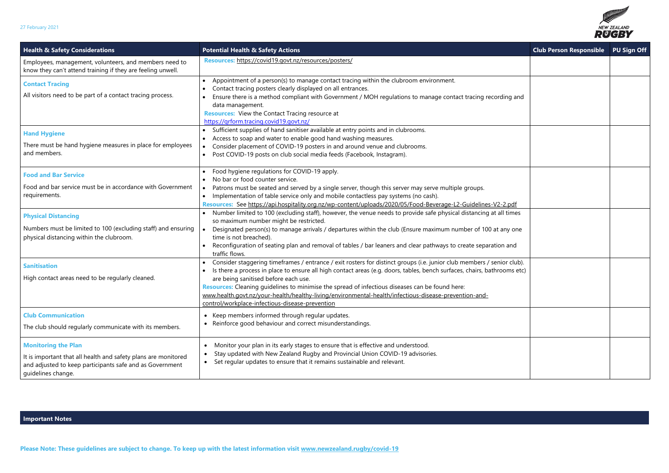

| <b>Health &amp; Safety Considerations</b>                                                                                                                                      | <b>Potential Health &amp; Safety Actions</b>                                                                                                                                                                                                                                                                                                                                                                                                                                                                                                              | <b>Club Person Responsible</b> | <b>PU Sign Off</b> |
|--------------------------------------------------------------------------------------------------------------------------------------------------------------------------------|-----------------------------------------------------------------------------------------------------------------------------------------------------------------------------------------------------------------------------------------------------------------------------------------------------------------------------------------------------------------------------------------------------------------------------------------------------------------------------------------------------------------------------------------------------------|--------------------------------|--------------------|
| Employees, management, volunteers, and members need to<br>know they can't attend training if they are feeling unwell.                                                          | Resources: https://covid19.govt.nz/resources/posters/                                                                                                                                                                                                                                                                                                                                                                                                                                                                                                     |                                |                    |
| <b>Contact Tracing</b><br>All visitors need to be part of a contact tracing process.                                                                                           | Appointment of a person(s) to manage contact tracing within the clubroom environment.<br>Contact tracing posters clearly displayed on all entrances.<br>Ensure there is a method compliant with Government / MOH regulations to manage contact tracing recording and<br>data management.<br><b>Resources:</b> View the Contact Tracing resource at<br>https://grform.tracing.covid19.govt.nz/                                                                                                                                                             |                                |                    |
| <b>Hand Hygiene</b><br>There must be hand hygiene measures in place for employees<br>and members.                                                                              | Sufficient supplies of hand sanitiser available at entry points and in clubrooms.<br>Access to soap and water to enable good hand washing measures.<br>• Consider placement of COVID-19 posters in and around venue and clubrooms.<br>Post COVID-19 posts on club social media feeds (Facebook, Instagram).                                                                                                                                                                                                                                               |                                |                    |
| <b>Food and Bar Service</b><br>Food and bar service must be in accordance with Government<br>requirements.                                                                     | Food hygiene regulations for COVID-19 apply.<br>No bar or food counter service.<br>Patrons must be seated and served by a single server, though this server may serve multiple groups.<br>Implementation of table service only and mobile contactless pay systems (no cash).<br>Resources: See https://api.hospitality.org.nz/wp-content/uploads/2020/05/Food-Beverage-L2-Guidelines-V2-2.pdf                                                                                                                                                             |                                |                    |
| <b>Physical Distancing</b><br>Numbers must be limited to 100 (excluding staff) and ensuring<br>physical distancing within the clubroom.                                        | • Number limited to 100 (excluding staff), however, the venue needs to provide safe physical distancing at all times<br>so maximum number might be restricted.<br>Designated person(s) to manage arrivals / departures within the club (Ensure maximum number of 100 at any one<br>time is not breached).<br>Reconfiguration of seating plan and removal of tables / bar leaners and clear pathways to create separation and<br>traffic flows.                                                                                                            |                                |                    |
| <b>Sanitisation</b><br>High contact areas need to be regularly cleaned.                                                                                                        | Consider staggering timeframes / entrance / exit rosters for distinct groups (i.e. junior club members / senior club).<br>Is there a process in place to ensure all high contact areas (e.g. doors, tables, bench surfaces, chairs, bathrooms etc)<br>are being sanitised before each use.<br>Resources: Cleaning guidelines to minimise the spread of infectious diseases can be found here:<br>www.health.govt.nz/your-health/healthy-living/environmental-health/infectious-disease-prevention-and-<br>control/workplace-infectious-disease-prevention |                                |                    |
| <b>Club Communication</b><br>The club should regularly communicate with its members.                                                                                           | • Keep members informed through regular updates.<br>Reinforce good behaviour and correct misunderstandings.<br>$\bullet$                                                                                                                                                                                                                                                                                                                                                                                                                                  |                                |                    |
| <b>Monitoring the Plan</b><br>It is important that all health and safety plans are monitored<br>and adjusted to keep participants safe and as Government<br>guidelines change. | Monitor your plan in its early stages to ensure that is effective and understood.<br>$\bullet$<br>Stay updated with New Zealand Rugby and Provincial Union COVID-19 advisories.<br>Set regular updates to ensure that it remains sustainable and relevant.<br>$\bullet$                                                                                                                                                                                                                                                                                   |                                |                    |

## **Important Notes**